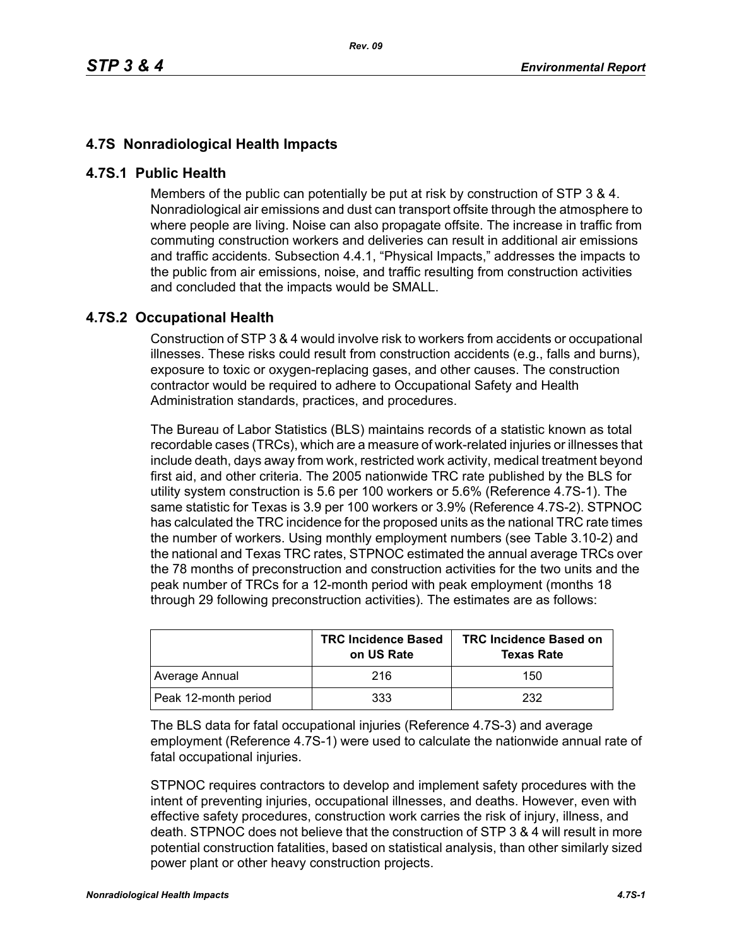## **4.7S Nonradiological Health Impacts**

## **4.7S.1 Public Health**

Members of the public can potentially be put at risk by construction of STP 3 & 4. Nonradiological air emissions and dust can transport offsite through the atmosphere to where people are living. Noise can also propagate offsite. The increase in traffic from commuting construction workers and deliveries can result in additional air emissions and traffic accidents. Subsection 4.4.1, "Physical Impacts," addresses the impacts to the public from air emissions, noise, and traffic resulting from construction activities and concluded that the impacts would be SMALL.

## **4.7S.2 Occupational Health**

Construction of STP 3 & 4 would involve risk to workers from accidents or occupational illnesses. These risks could result from construction accidents (e.g., falls and burns), exposure to toxic or oxygen-replacing gases, and other causes. The construction contractor would be required to adhere to Occupational Safety and Health Administration standards, practices, and procedures.

The Bureau of Labor Statistics (BLS) maintains records of a statistic known as total recordable cases (TRCs), which are a measure of work-related injuries or illnesses that include death, days away from work, restricted work activity, medical treatment beyond first aid, and other criteria. The 2005 nationwide TRC rate published by the BLS for utility system construction is 5.6 per 100 workers or 5.6% (Reference 4.7S-1). The same statistic for Texas is 3.9 per 100 workers or 3.9% (Reference 4.7S-2). STPNOC has calculated the TRC incidence for the proposed units as the national TRC rate times the number of workers. Using monthly employment numbers (see Table 3.10-2) and the national and Texas TRC rates, STPNOC estimated the annual average TRCs over the 78 months of preconstruction and construction activities for the two units and the peak number of TRCs for a 12-month period with peak employment (months 18 through 29 following preconstruction activities). The estimates are as follows:

|                      | <b>TRC Incidence Based</b><br>on US Rate | <b>TRC Incidence Based on</b><br><b>Texas Rate</b> |
|----------------------|------------------------------------------|----------------------------------------------------|
| Average Annual       | 216                                      | 150                                                |
| Peak 12-month period | 333                                      | 232                                                |

The BLS data for fatal occupational injuries (Reference 4.7S-3) and average employment (Reference 4.7S-1) were used to calculate the nationwide annual rate of fatal occupational injuries.

STPNOC requires contractors to develop and implement safety procedures with the intent of preventing injuries, occupational illnesses, and deaths. However, even with effective safety procedures, construction work carries the risk of injury, illness, and death. STPNOC does not believe that the construction of STP 3 & 4 will result in more potential construction fatalities, based on statistical analysis, than other similarly sized power plant or other heavy construction projects.